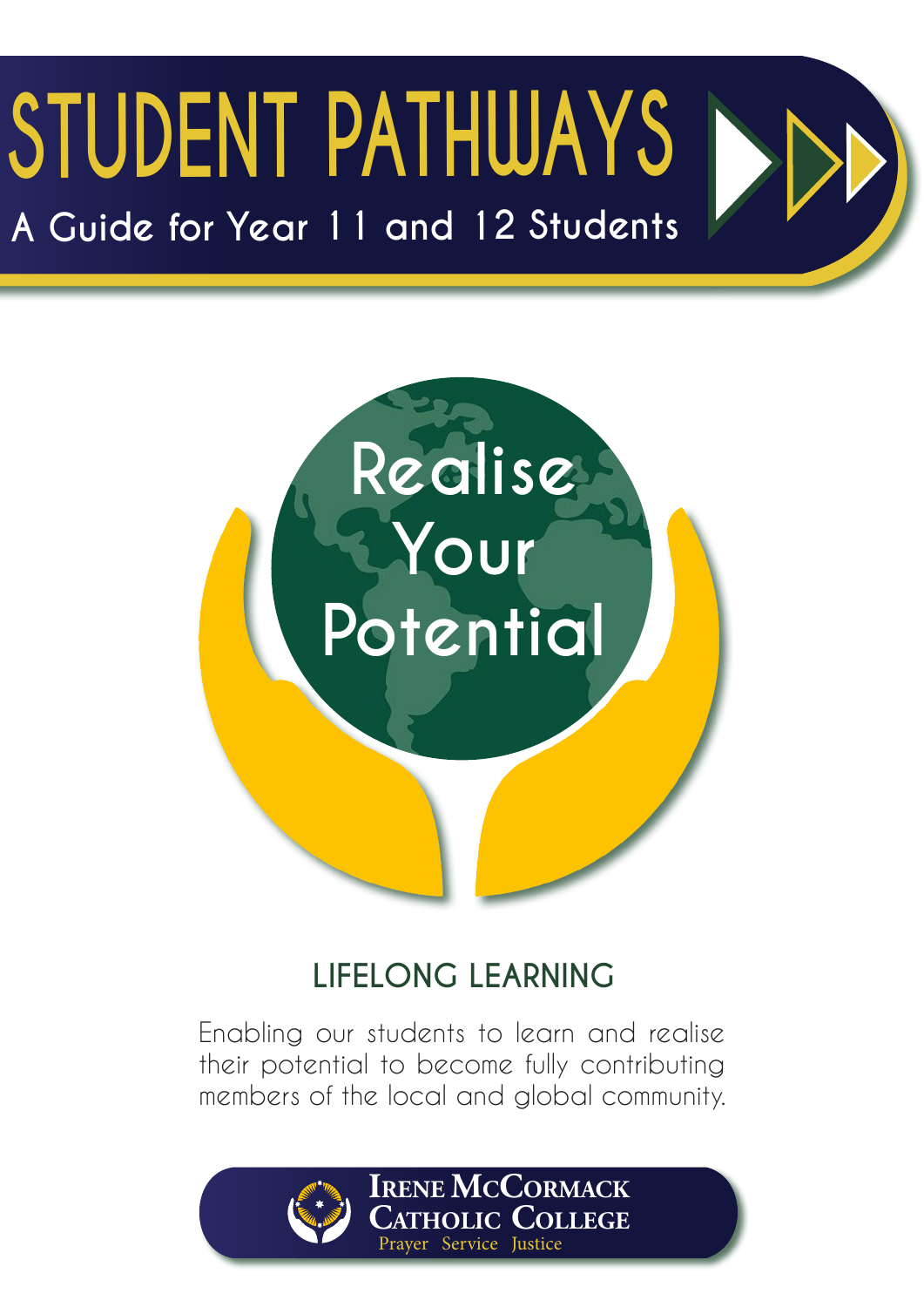## **STUDENT PATHWAYS A Guide for Year 11 and 12 Students**



### **LIFELONG LEARNING**

Enabling our students to learn and realise their potential to become fully contributing members of the local and global community.



**Irene McCormack Catholic College** Prayer Service Justice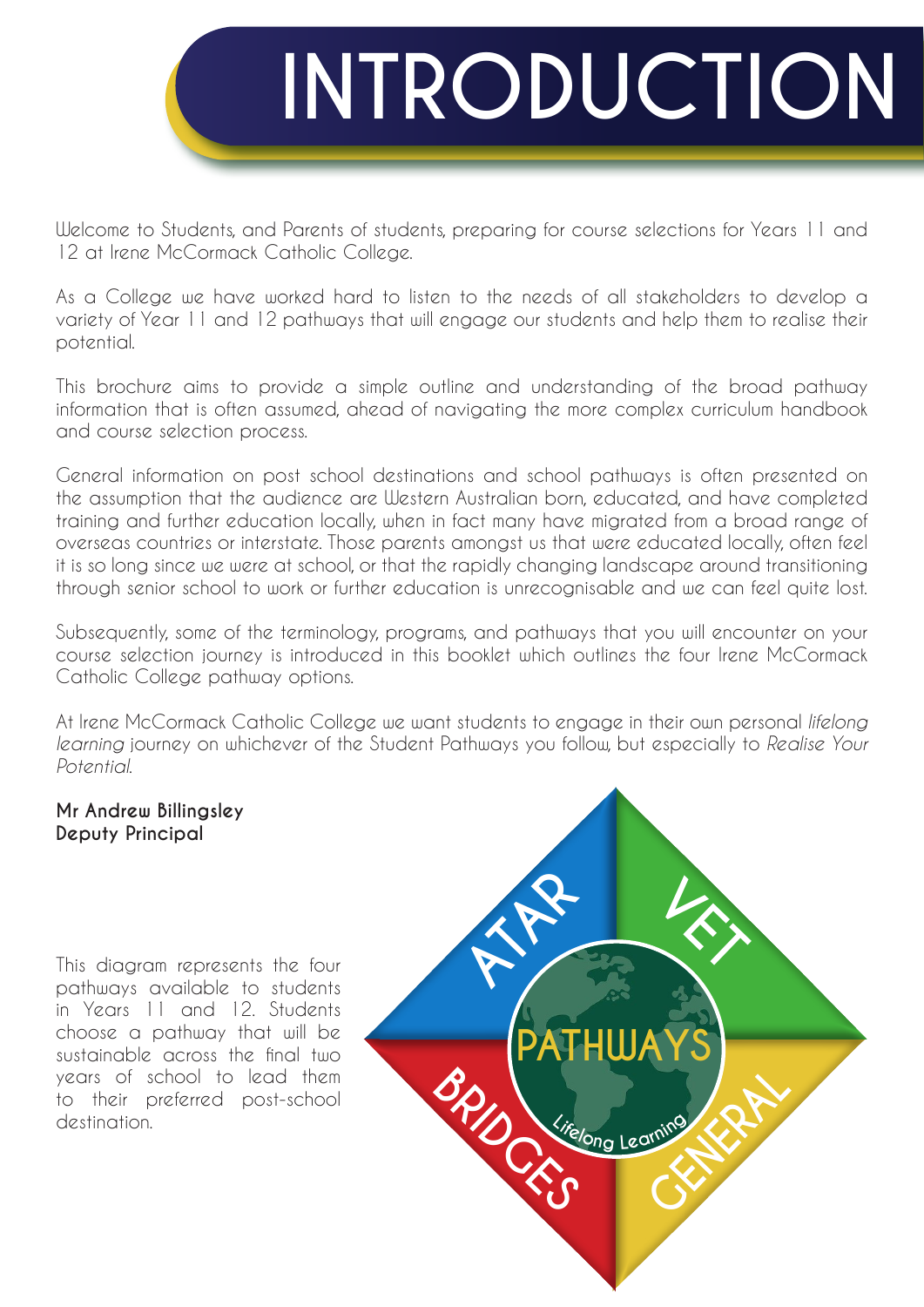

Welcome to Students, and Parents of students, preparing for course selections for Years 11 and 12 at Irene McCormack Catholic College.

As a College we have worked hard to listen to the needs of all stakeholders to develop a variety of Year 11 and 12 pathways that will engage our students and help them to realise their potential.

This brochure aims to provide a simple outline and understanding of the broad pathway information that is often assumed, ahead of navigating the more complex curriculum handbook and course selection process.

General information on post school destinations and school pathways is often presented on the assumption that the audience are Western Australian born, educated, and have completed training and further education locally, when in fact many have migrated from a broad range of overseas countries or interstate. Those parents amongst us that were educated locally, often feel it is so long since we were at school, or that the rapidly changing landscape around transitioning through senior school to work or further education is unrecognisable and we can feel quite lost.

Subsequently, some of the terminology, programs, and pathways that you will encounter on your course selection journey is introduced in this booklet which outlines the four Irene McCormack Catholic College pathway options.

At Irene McCormack Catholic College we want students to engage in their own personal *lifelong learning* journey on whichever of the Student Pathways you follow, but especially to *Realise Your Potential*.

#### **Mr Andrew Billingsley Deputy Principal**

This diagram represents the four pathways available to students in Years 11 and 12. Students choose a pathway that will be sustainable across the final two years of school to lead them to their preferred post-school destination.

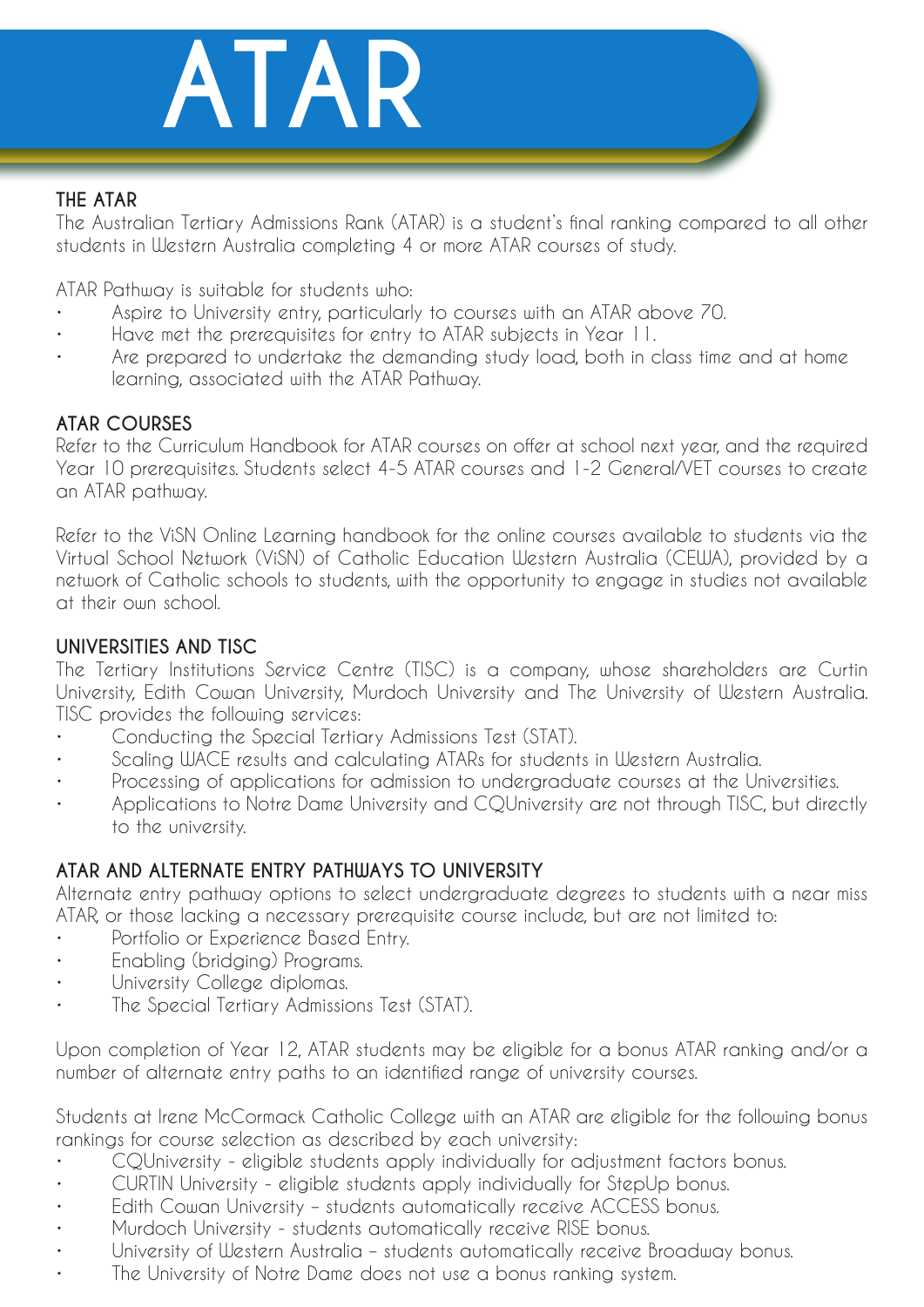

#### **THE ATAR**

The Australian Tertiary Admissions Rank (ATAR) is a student's final ranking compared to all other students in Western Australia completing 4 or more ATAR courses of study.

ATAR Pathway is suitable for students who:

- Aspire to University entry, particularly to courses with an ATAR above 70.
- Have met the prerequisites for entry to ATAR subjects in Year 11.
- Are prepared to undertake the demanding study load, both in class time and at home learning, associated with the ATAR Pathway.

#### **ATAR COURSES**

Refer to the Curriculum Handbook for ATAR courses on offer at school next year, and the required Year 10 prerequisites. Students select 4-5 ATAR courses and 1-2 General/VET courses to create an ATAR pathway.

Refer to the ViSN Online Learning handbook for the online courses available to students via the Virtual School Network (ViSN) of Catholic Education Western Australia (CEWA), provided by a network of Catholic schools to students, with the opportunity to engage in studies not available at their own school.

#### **UNIVERSITIES AND TISC**

The Tertiary Institutions Service Centre (TISC) is a company, whose shareholders are Curtin University, Edith Cowan University, Murdoch University and The University of Western Australia. TISC provides the following services:

- Conducting the Special Tertiary Admissions Test (STAT).
- Scaling WACE results and calculating ATARs for students in Western Australia.
- Processing of applications for admission to undergraduate courses at the Universities.
- Applications to Notre Dame University and CQUniversity are not through TISC, but directly to the university.

#### **ATAR AND ALTERNATE ENTRY PATHWAYS TO UNIVERSITY**

Alternate entry pathway options to select undergraduate degrees to students with a near miss ATAR, or those lacking a necessary prerequisite course include, but are not limited to:

- Portfolio or Experience Based Entry.
- Enabling (bridging) Programs.
- University College diplomas.
- The Special Tertiary Admissions Test (STAT).

Upon completion of Year 12, ATAR students may be eligible for a bonus ATAR ranking and/or a number of alternate entry paths to an identified range of university courses.

Students at Irene McCormack Catholic College with an ATAR are eligible for the following bonus rankings for course selection as described by each university:

- CQUniversity eligible students apply individually for adjustment factors bonus.
- CURTIN University eligible students apply individually for StepUp bonus.
- Edith Cowan University students automatically receive ACCESS bonus.
- Murdoch University students automatically receive RISE bonus.
- University of Western Australia students automatically receive Broadway bonus.
- The University of Notre Dame does not use a bonus ranking system.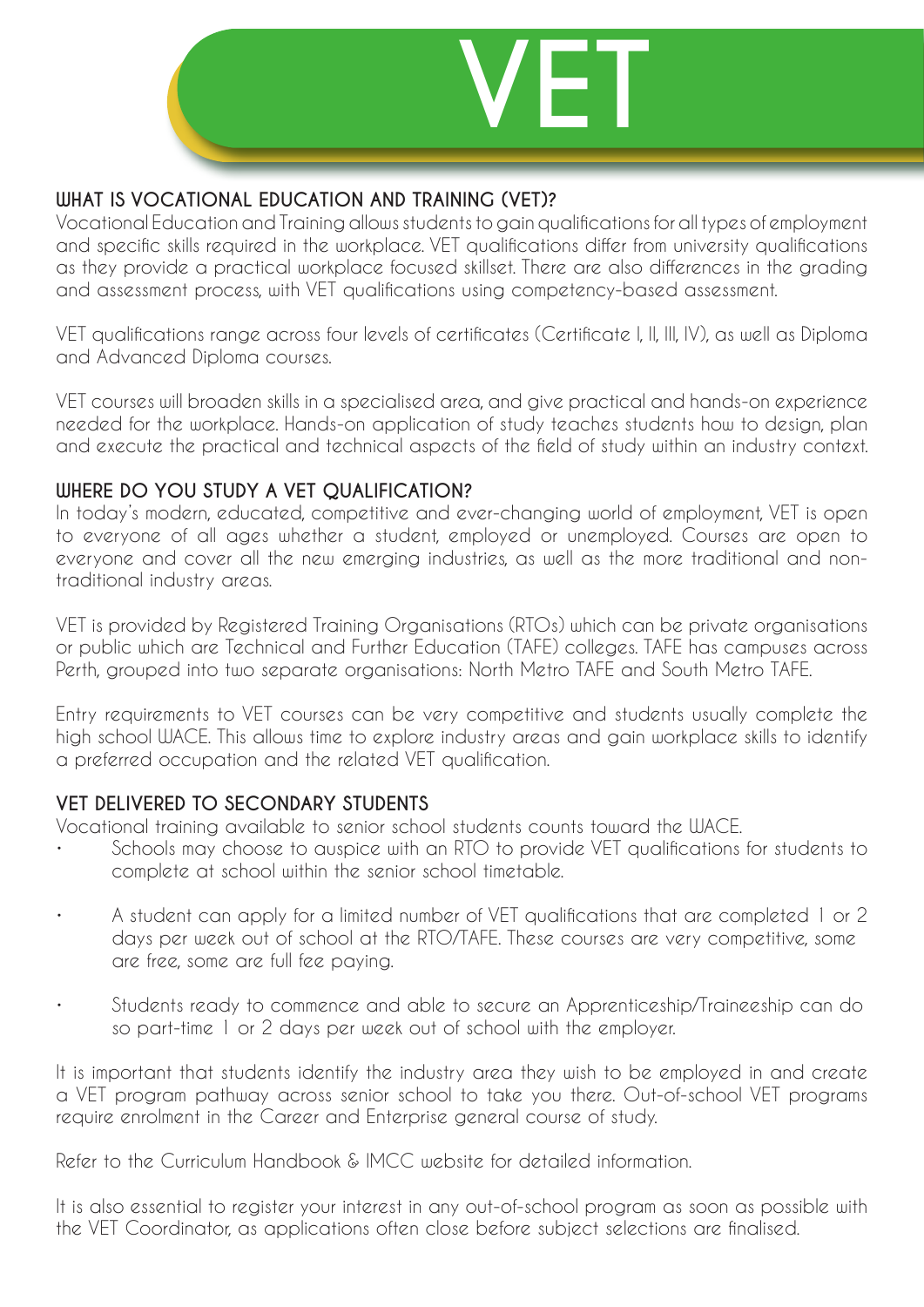

#### **WHAT IS VOCATIONAL EDUCATION AND TRAINING (VET)?**

Vocational Education and Training allows students to gain qualifications for all types of employment and specific skills required in the workplace. VET qualifications differ from university qualifications as they provide a practical workplace focused skillset. There are also differences in the grading and assessment process, with VET qualifications using competency-based assessment.

VET qualifications range across four levels of certificates (Certificate I, II, III, IV), as well as Diploma and Advanced Diploma courses.

VET courses will broaden skills in a specialised area, and give practical and hands-on experience needed for the workplace. Hands-on application of study teaches students how to design, plan and execute the practical and technical aspects of the field of study within an industry context.

#### **WHERE DO YOU STUDY A VET QUALIFICATION?**

In today 's modern, educated, competitive and ever-changing world of employment, VET is open to everyone of all ages whether a student, employed or unemployed. Courses are open to everyone and cover all the new emerging industries, as well as the more traditional and nontraditional industry areas.

VET is provided by Registered Training Organisations (RTOs) which can be private organisations or public which are Technical and Further Education (TAFE) colleges. TAFE has campuses across Perth, grouped into two separate organisations: North Metro TAFE and South Metro TAFE.

Entry requirements to VET courses can be very competitive and students usually complete the high school WACE. This allows time to explore industry areas and gain workplace skills to identify a preferred occupation and the related VET qualification.

#### **VET DELIVERED TO SECONDARY STUDENTS**

Vocational training available to senior school students counts toward the WACE.

- Schools may choose to auspice with an RTO to provide VET qualifications for students to complete at school within the senior school timetable.
- A student can apply for a limited number of VET qualifications that are completed 1 or 2 days per week out of school at the RTO/TAFE. These courses are very competitive, some are free, some are full fee paying.
- Students ready to commence and able to secure an Apprenticeship/Traineeship can do so part-time 1 or 2 days per week out of school with the employer.

It is important that students identify the industry area they wish to be employed in and create a VET program pathway across senior school to take you there. Out-of-school VET programs require enrolment in the Career and Enterprise general course of study.

Refer to the Curriculum Handbook & IMCC website for detailed information.

It is also essential to register your interest in any out-of-school program as soon as possible with the VET Coordinator, as applications often close before subject selections are finalised.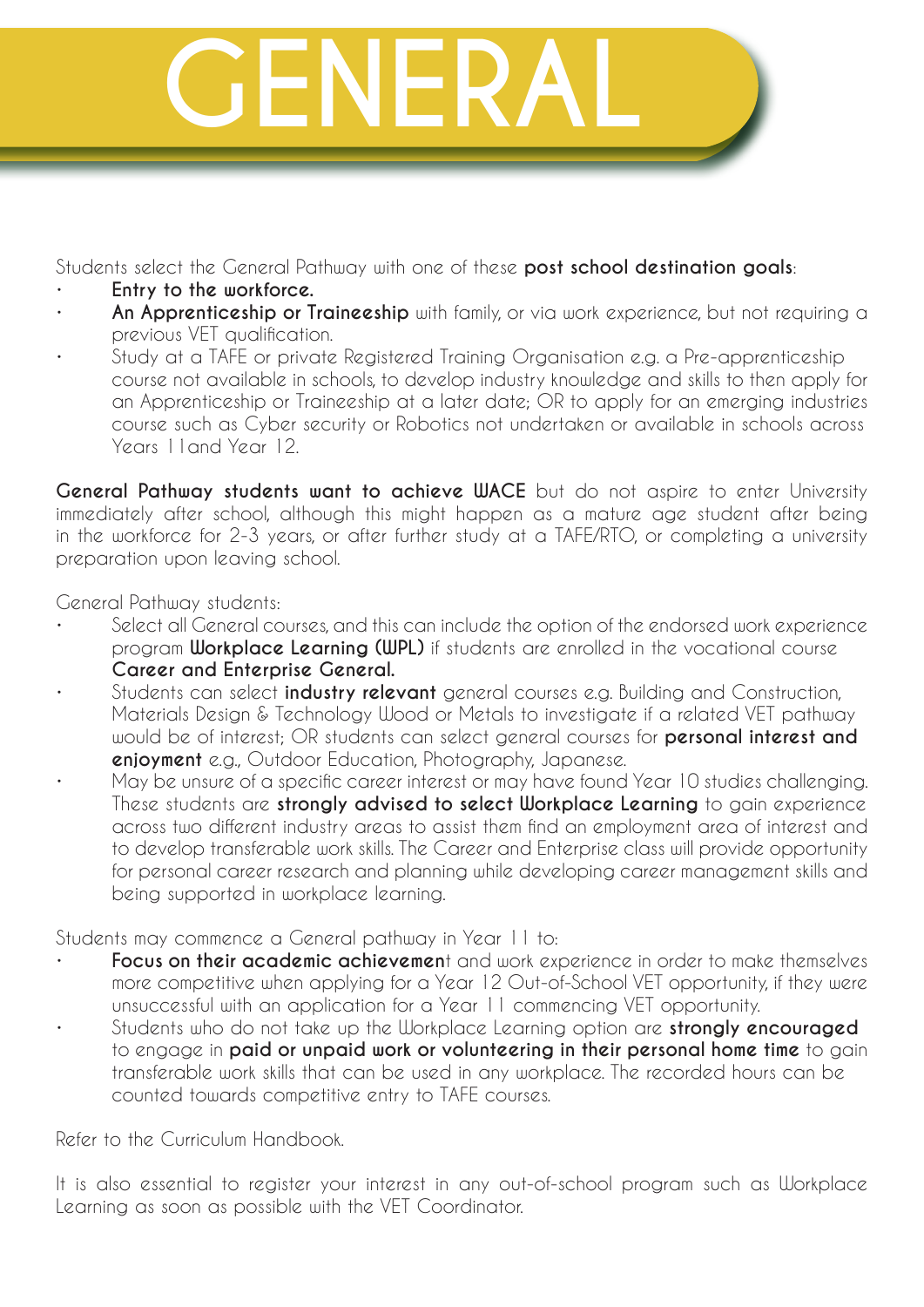

Students select the General Pathway with one of these **post school destination goals**:

- **Entry to the workforce.**
- **An Apprenticeship or Traineeship** with family, or via work experience, but not requiring a previous VET qualification.
- Study at a TAFE or private Registered Training Organisation e.g. a Pre-apprenticeship course not available in schools, to develop industry knowledge and skills to then apply for an Apprenticeship or Traineeship at a later date; OR to apply for an emerging industries course such as Cyber security or Robotics not undertaken or available in schools across Years 11and Year 12.

**General Pathway students want to achieve WACE** but do not aspire to enter University immediately after school, although this might happen as a mature age student after being in the workforce for 2-3 years, or after further study at a TAFE/RTO, or completing a university preparation upon leaving school.

General Pathway students:

- Select all General courses, and this can include the option of the endorsed work experience program **Workplace Learning (WPL)** if students are enrolled in the vocational course **Career and Enterprise General.**
- Students can select **industry relevant** general courses e.g. Building and Construction, Materials Design & Technology Wood or Metals to investigate if a related VET pathway would be of interest; OR students can select general courses for **personal interest and enjoyment** e.g., Outdoor Education, Photography, Japanese.
- May be unsure of a specific career interest or may have found Year 10 studies challenging. These students are **strongly advised to select Workplace Learning** to gain experience across two different industry areas to assist them find an employment area of interest and to develop transferable work skills. The Career and Enterprise class will provide opportunity for personal career research and planning while developing career management skills and being supported in workplace learning.

Students may commence a General pathway in Year 11 to:

- **Focus on their academic achievemen**t and work experience in order to make themselves more competitive when applying for a Year 12 Out-of-School VET opportunity, if they were unsuccessful with an application for a Year 11 commencing VET opportunity.
- Students who do not take up the Workplace Learning option are **strongly encouraged**  to engage in **paid or unpaid work or volunteering in their personal home time** to gain transferable work skills that can be used in any workplace. The recorded hours can be counted towards competitive entry to TAFE courses.

Refer to the Curriculum Handbook.

It is also essential to register your interest in any out-of-school program such as Workplace Learning as soon as possible with the VET Coordinator.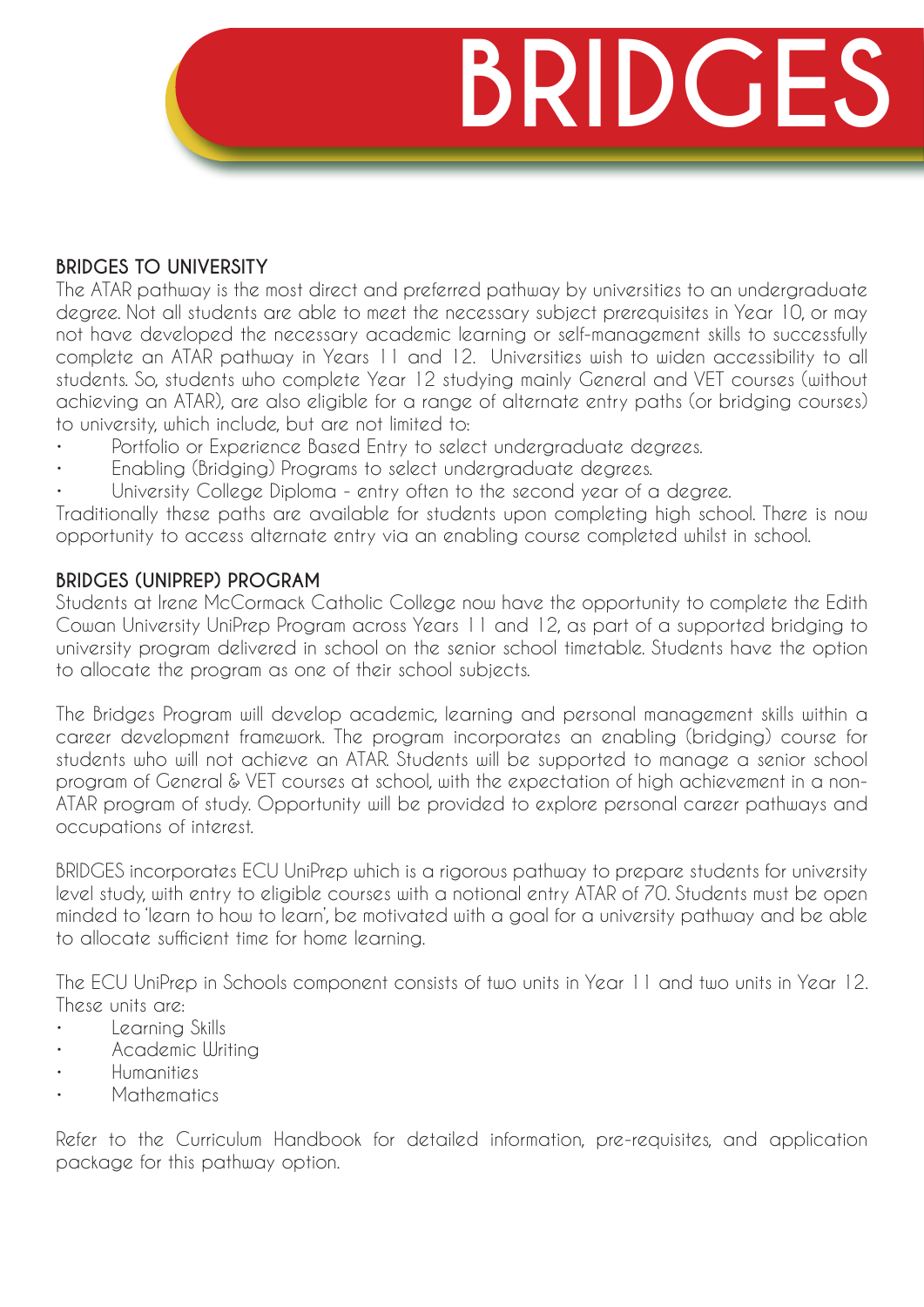# **BRIDGE**

#### **BRIDGES TO UNIVERSITY**

The ATAR pathway is the most direct and preferred pathway by universities to an undergraduate degree. Not all students are able to meet the necessary subject prerequisites in Year 10, or may not have developed the necessary academic learning or self-management skills to successfully complete an ATAR pathway in Years 11 and 12. Universities wish to widen accessibility to all students. So, students who complete Year 12 studying mainly General and VET courses (without achieving an ATAR), are also eligible for a range of alternate entry paths (or bridging courses) to university, which include, but are not limited to:

- Portfolio or Experience Based Entry to select undergraduate degrees.
- Enabling (Bridging) Programs to select undergraduate degrees.
- University College Diploma entry often to the second year of a degree.

Traditionally these paths are available for students upon completing high school. There is now opportunity to access alternate entry via an enabling course completed whilst in school.

#### **BRIDGES (UNIPREP) PROGRAM**

Students at Irene McCormack Catholic College now have the opportunity to complete the Edith Cowan University UniPrep Program across Years 11 and 12, as part of a supported bridging to university program delivered in school on the senior school timetable. Students have the option to allocate the program as one of their school subjects.

The Bridges Program will develop academic, learning and personal management skills within a career development framework. The program incorporates an enabling (bridging) course for students who will not achieve an ATAR. Students will be supported to manage a senior school program of General & VET courses at school, with the expectation of high achievement in a non-ATAR program of study. Opportunity will be provided to explore personal career pathways and occupations of interest.

BRIDGES incorporates ECU UniPrep which is a rigorous pathway to prepare students for university level study, with entry to eligible courses with a notional entry ATAR of 70. Students must be open minded to 'learn to how to learn', be motivated with a goal for a university pathway and be able to allocate sufficient time for home learning.

The ECU UniPrep in Schools component consists of two units in Year 11 and two units in Year 12. These units are:

- Learning Skills
- Academic Writing
- Humanities
- Mathematics

Refer to the Curriculum Handbook for detailed information, pre-requisites, and application package for this pathway option.